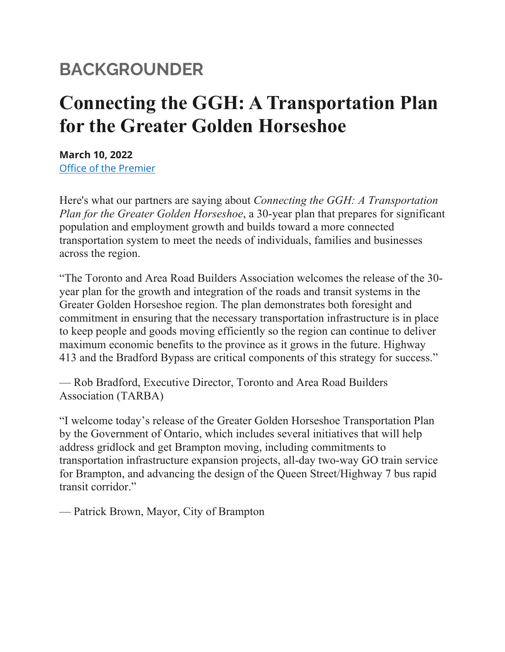## **BACKGROUNDER**

## **Connecting the GGH: A Transportation Plan for the Greater Golden Horseshoe**

**March 10, 2022** [Office of the Premier](https://news.ontario.ca/opo/en)

Here's what our partners are saying about *Connecting the GGH: A Transportation Plan for the Greater Golden Horseshoe*, a 30-year plan that prepares for significant population and employment growth and builds toward a more connected transportation system to meet the needs of individuals, families and businesses across the region.

"The Toronto and Area Road Builders Association welcomes the release of the 30 year plan for the growth and integration of the roads and transit systems in the Greater Golden Horseshoe region. The plan demonstrates both foresight and commitment in ensuring that the necessary transportation infrastructure is in place to keep people and goods moving efficiently so the region can continue to deliver maximum economic benefits to the province as it grows in the future. Highway 413 and the Bradford Bypass are critical components of this strategy for success."

— Rob Bradford, Executive Director, Toronto and Area Road Builders Association (TARBA)

"I welcome today's release of the Greater Golden Horseshoe Transportation Plan by the Government of Ontario, which includes several initiatives that will help address gridlock and get Brampton moving, including commitments to transportation infrastructure expansion projects, all-day two-way GO train service for Brampton, and advancing the design of the Queen Street/Highway 7 bus rapid transit corridor."

— Patrick Brown, Mayor, City of Brampton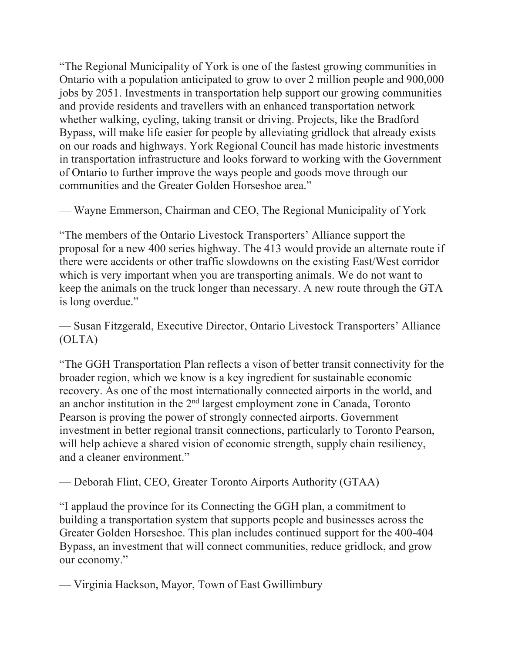"The Regional Municipality of York is one of the fastest growing communities in Ontario with a population anticipated to grow to over 2 million people and 900,000 jobs by 2051. Investments in transportation help support our growing communities and provide residents and travellers with an enhanced transportation network whether walking, cycling, taking transit or driving. Projects, like the Bradford Bypass, will make life easier for people by alleviating gridlock that already exists on our roads and highways. York Regional Council has made historic investments in transportation infrastructure and looks forward to working with the Government of Ontario to further improve the ways people and goods move through our communities and the Greater Golden Horseshoe area."

— Wayne Emmerson, Chairman and CEO, The Regional Municipality of York

"The members of the Ontario Livestock Transporters' Alliance support the proposal for a new 400 series highway. The 413 would provide an alternate route if there were accidents or other traffic slowdowns on the existing East/West corridor which is very important when you are transporting animals. We do not want to keep the animals on the truck longer than necessary. A new route through the GTA is long overdue."

— Susan Fitzgerald, Executive Director, Ontario Livestock Transporters' Alliance (OLTA)

"The GGH Transportation Plan reflects a vison of better transit connectivity for the broader region, which we know is a key ingredient for sustainable economic recovery. As one of the most internationally connected airports in the world, and an anchor institution in the  $2<sup>nd</sup>$  largest employment zone in Canada, Toronto Pearson is proving the power of strongly connected airports. Government investment in better regional transit connections, particularly to Toronto Pearson, will help achieve a shared vision of economic strength, supply chain resiliency, and a cleaner environment."

— Deborah Flint, CEO, Greater Toronto Airports Authority (GTAA)

"I applaud the province for its Connecting the GGH plan, a commitment to building a transportation system that supports people and businesses across the Greater Golden Horseshoe. This plan includes continued support for the 400-404 Bypass, an investment that will connect communities, reduce gridlock, and grow our economy."

— Virginia Hackson, Mayor, Town of East Gwillimbury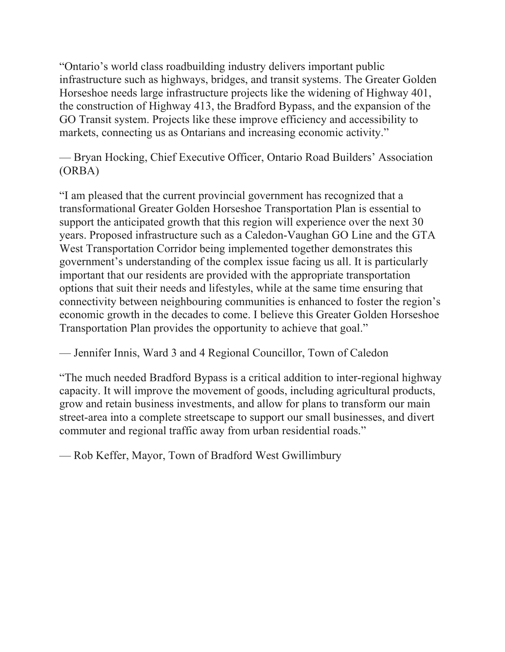"Ontario's world class roadbuilding industry delivers important public infrastructure such as highways, bridges, and transit systems. The Greater Golden Horseshoe needs large infrastructure projects like the widening of Highway 401, the construction of Highway 413, the Bradford Bypass, and the expansion of the GO Transit system. Projects like these improve efficiency and accessibility to markets, connecting us as Ontarians and increasing economic activity."

— Bryan Hocking, Chief Executive Officer, Ontario Road Builders' Association (ORBA)

"I am pleased that the current provincial government has recognized that a transformational Greater Golden Horseshoe Transportation Plan is essential to support the anticipated growth that this region will experience over the next 30 years. Proposed infrastructure such as a Caledon-Vaughan GO Line and the GTA West Transportation Corridor being implemented together demonstrates this government's understanding of the complex issue facing us all. It is particularly important that our residents are provided with the appropriate transportation options that suit their needs and lifestyles, while at the same time ensuring that connectivity between neighbouring communities is enhanced to foster the region's economic growth in the decades to come. I believe this Greater Golden Horseshoe Transportation Plan provides the opportunity to achieve that goal."

— Jennifer Innis, Ward 3 and 4 Regional Councillor, Town of Caledon

"The much needed Bradford Bypass is a critical addition to inter-regional highway capacity. It will improve the movement of goods, including agricultural products, grow and retain business investments, and allow for plans to transform our main street-area into a complete streetscape to support our small businesses, and divert commuter and regional traffic away from urban residential roads."

— Rob Keffer, Mayor, Town of Bradford West Gwillimbury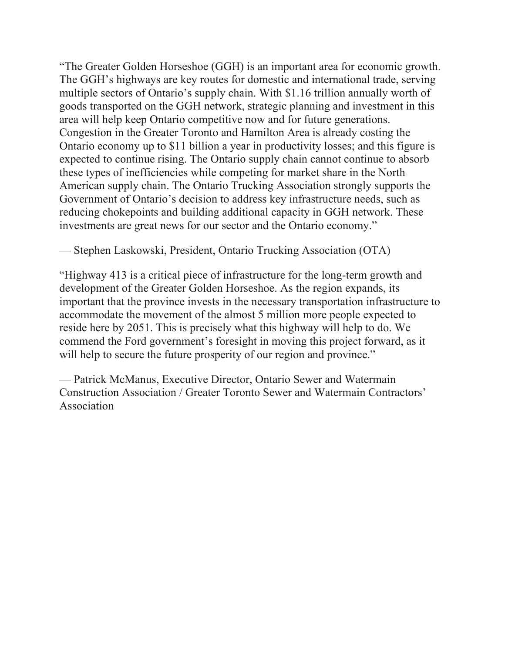"The Greater Golden Horseshoe (GGH) is an important area for economic growth. The GGH's highways are key routes for domestic and international trade, serving multiple sectors of Ontario's supply chain. With \$1.16 trillion annually worth of goods transported on the GGH network, strategic planning and investment in this area will help keep Ontario competitive now and for future generations. Congestion in the Greater Toronto and Hamilton Area is already costing the Ontario economy up to \$11 billion a year in productivity losses; and this figure is expected to continue rising. The Ontario supply chain cannot continue to absorb these types of inefficiencies while competing for market share in the North American supply chain. The Ontario Trucking Association strongly supports the Government of Ontario's decision to address key infrastructure needs, such as reducing chokepoints and building additional capacity in GGH network. These investments are great news for our sector and the Ontario economy."

— Stephen Laskowski, President, Ontario Trucking Association (OTA)

"Highway 413 is a critical piece of infrastructure for the long-term growth and development of the Greater Golden Horseshoe. As the region expands, its important that the province invests in the necessary transportation infrastructure to accommodate the movement of the almost 5 million more people expected to reside here by 2051. This is precisely what this highway will help to do. We commend the Ford government's foresight in moving this project forward, as it will help to secure the future prosperity of our region and province."

— Patrick McManus, Executive Director, Ontario Sewer and Watermain Construction Association / Greater Toronto Sewer and Watermain Contractors' Association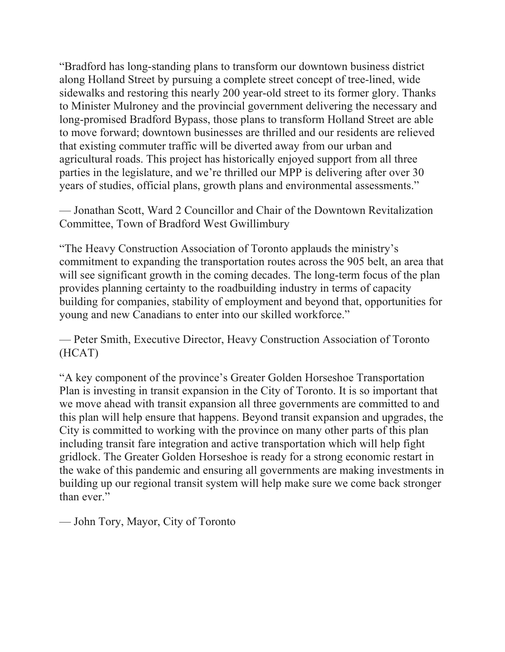"Bradford has long-standing plans to transform our downtown business district along Holland Street by pursuing a complete street concept of tree-lined, wide sidewalks and restoring this nearly 200 year-old street to its former glory. Thanks to Minister Mulroney and the provincial government delivering the necessary and long-promised Bradford Bypass, those plans to transform Holland Street are able to move forward; downtown businesses are thrilled and our residents are relieved that existing commuter traffic will be diverted away from our urban and agricultural roads. This project has historically enjoyed support from all three parties in the legislature, and we're thrilled our MPP is delivering after over 30 years of studies, official plans, growth plans and environmental assessments."

— Jonathan Scott, Ward 2 Councillor and Chair of the Downtown Revitalization Committee, Town of Bradford West Gwillimbury

"The Heavy Construction Association of Toronto applauds the ministry's commitment to expanding the transportation routes across the 905 belt, an area that will see significant growth in the coming decades. The long-term focus of the plan provides planning certainty to the roadbuilding industry in terms of capacity building for companies, stability of employment and beyond that, opportunities for young and new Canadians to enter into our skilled workforce."

— Peter Smith, Executive Director, Heavy Construction Association of Toronto (HCAT)

"A key component of the province's Greater Golden Horseshoe Transportation Plan is investing in transit expansion in the City of Toronto. It is so important that we move ahead with transit expansion all three governments are committed to and this plan will help ensure that happens. Beyond transit expansion and upgrades, the City is committed to working with the province on many other parts of this plan including transit fare integration and active transportation which will help fight gridlock. The Greater Golden Horseshoe is ready for a strong economic restart in the wake of this pandemic and ensuring all governments are making investments in building up our regional transit system will help make sure we come back stronger than ever."

— John Tory, Mayor, City of Toronto